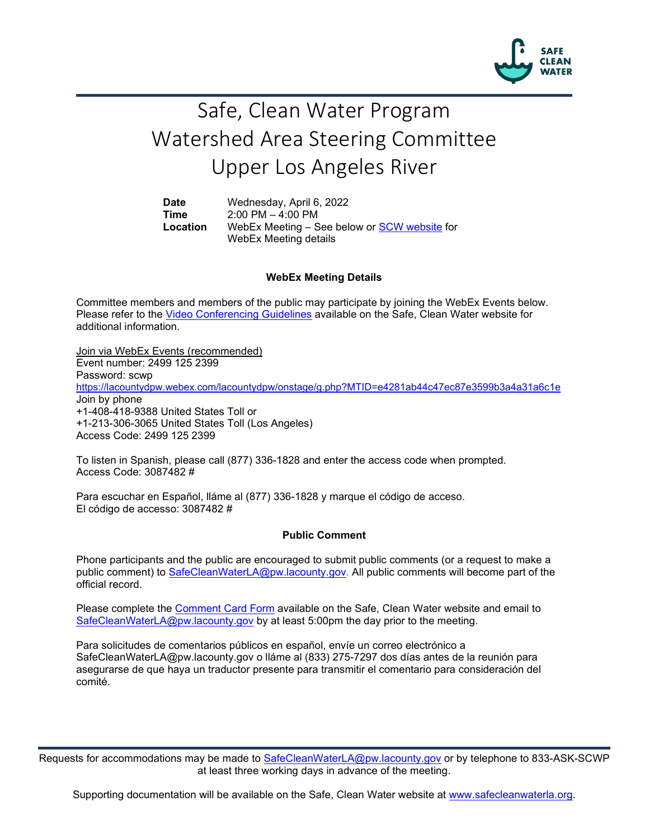

# Safe, Clean Water Program Watershed Area Steering Committee Upper Los Angeles River

**Date** Wednesday, April 6, 2022 **Time** 2:00 PM – 4:00 PM<br>**Location** WebEx Meeting – S WebEx Meeting – See below or [SCW website](https://safecleanwaterla.org/upper-los-angeles-river-watershed-area/) for WebEx Meeting details

## **WebEx Meeting Details**

Committee members and members of the public may participate by joining the WebEx Events below. Please refer to the [Video Conferencing Guidelines](https://safecleanwaterla.org/video-conference-guidelines/) available on the Safe, Clean Water website for additional information.

Join via WebEx Events (recommended) Event number: 2499 125 2399 Password: scwp <https://lacountydpw.webex.com/lacountydpw/onstage/g.php?MTID=e4281ab44c47ec87e3599b3a4a31a6c1e> Join by phone +1-408-418-9388 United States Toll or +1-213-306-3065 United States Toll (Los Angeles) Access Code: 2499 125 2399

To listen in Spanish, please call (877) 336-1828 and enter the access code when prompted. Access Code: 3087482 #

Para escuchar en Español, lláme al (877) 336-1828 y marque el código de acceso. El código de accesso: 3087482 #

#### **Public Comment**

Phone participants and the public are encouraged to submit public comments (or a request to make a public comment) to [SafeCleanWaterLA@pw.lacounty.gov.](mailto:SafeCleanWaterLA@pw.lacounty.gov) All public comments will become part of the official record.

Please complete the Comment [Card Form](https://safecleanwaterla.org/video-conference-guidelines/) available on the Safe, Clean Water website and email to [SafeCleanWaterLA@pw.lacounty.gov](mailto:SafeCleanWaterLA@pw.lacounty.gov) by at least 5:00pm the day prior to the meeting.

Para solicitudes de comentarios públicos en español, envíe un correo electrónico a SafeCleanWaterLA@pw.lacounty.gov o lláme al (833) 275-7297 dos días antes de la reunión para asegurarse de que haya un traductor presente para transmitir el comentario para consideración del comité.

Requests for accommodations may be made to [SafeCleanWaterLA@pw.lacounty.gov](mailto:SafeCleanWaterLA@pw.lacounty.gov) or by telephone to 833-ASK-SCWP at least three working days in advance of the meeting.